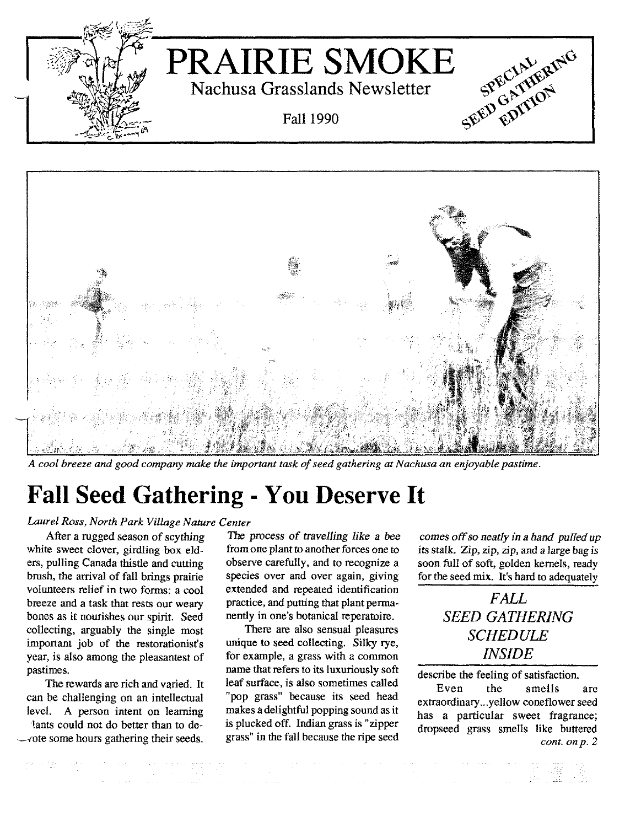



A cool breeze and good company make the important task of seed gathering at Nachusa an enjoyable pastime.

# **Fall Seed Gathering - Y00 Deserve It**

### *Laurel Ross, North Park Village Nature Center*

white sweet clover, girdling box eld-<br>from one plant to another forces one to ers, pulling Canada thistle and cutting observe carefully, and to recognize a brush, the arrival of fall brings prairie species over and over again, giving volunteers relief in two forms: a cool extended and repeated identification breeze and a task that rests our weary practice, and putting that plant permabones as it nourishes our spirit. Seed nently in one's botanical reperatoire.<br>
collecting. arguably the single most There are also sensual pleasures collecting, arguably the single most important job of the restorationist's unique to seed collecting. Silky rye, year, is also among the pleasantest of for example, a grass with a common pastimes. name that refers to its luxuriously soft

can be challenging on an intellectual level. A person intent on learning lants could not do better than to de- --,'ote some hours gathering their seeds.

After a rugged season of scything The process of *travelling like a* bee

The rewards are rich and varied. It leaf surface, is also sometimes called "pop grass" because its seed head makes a delightful popping sound as it is plucked off. Indian grass is "zipper grass" in the fall because the ripe seed

comes off so *neatly in a hand pulled up* its stalk. Zip, zip, zip, and a large bag is soon full of soft, golden kernels, ready for the seed mix. It's hard to adequately

> *FALL SEED GATHERING SCHEDULE INSIDE*

describe the feeling of satisfaction.

Even the smells are extraordinary ...yellow coneflower seed has a particular sweet fragrance; dropseed grass smells like buttered *cont. onp. 2*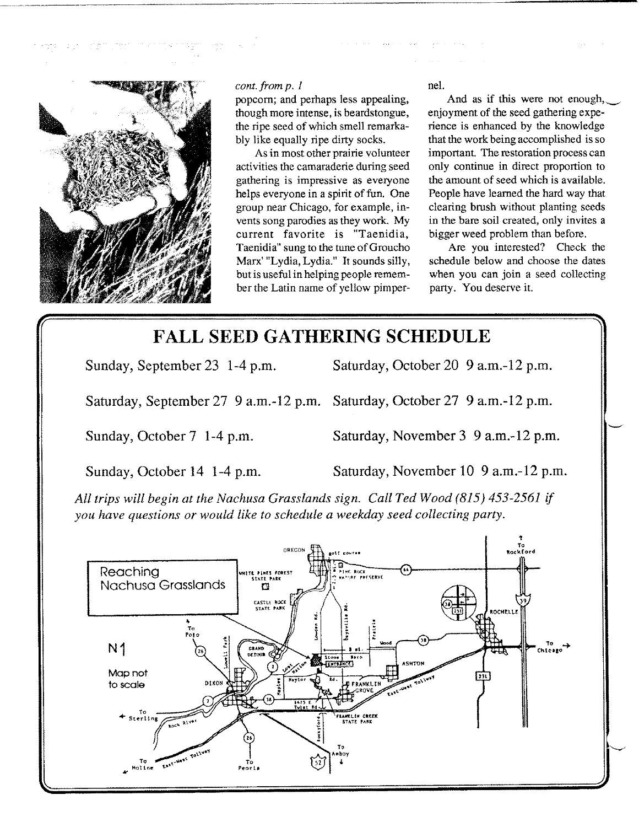

#### *cont. from p. 1*

popcorn; and perhaps less appealing, though more intense, is beardstongue, the ripe seed of which smell remarkably like equally ripe dirty socks.

As in most other prairie volunteer acti vities the camaraderie during seed gathering is impressive as everyone helps everyone in a spirit of fun. One group near Chicago, for example, invents song parodies as they work. My current favorite is "Taenidia, Taenidia" sung to the tune of Groucho Marx' "Lydia, Lydia." It sounds silly, but is useful in helping people remember the Latin name of yellow pimpernel.

And as if this were not enough, enjoyment of the seed gathering experience is enhanced by the knowledge that the work being accomplished is so important. The restoration process can only continue in direct proportion to the amount of seed which is available. People have learned the hard way that dearing brush without planting seeds in the bare soil created, only invites a bigger weed problem than before.

Are you interested? Check the schedule below and choose the dates when you can join a seed collecting party. You deserve it.

## **FALL SEED GATHERING SCHEDULE**

Sunday, September 23 1-4 p.m. Saturday, October 20 9 a.m.-12 p.m.

Saturday, September 27 9 a.m.-12 p.m. Saturday, October 27 9 a.m.-12 p.m.

Sunday, October 7 1-4 p.m. Saturday, November 3 9 a.m.-12 p.m.

Sunday, October 14 1-4 p.m. Saturday, November 10 9 a.m.-12 p.m.

*All trips will begin at the Nachusa Grasslands sign. Call Ted Wood* (815) 453-2561 *if you have questions or would like to schedule a weekday seed collecting party.*

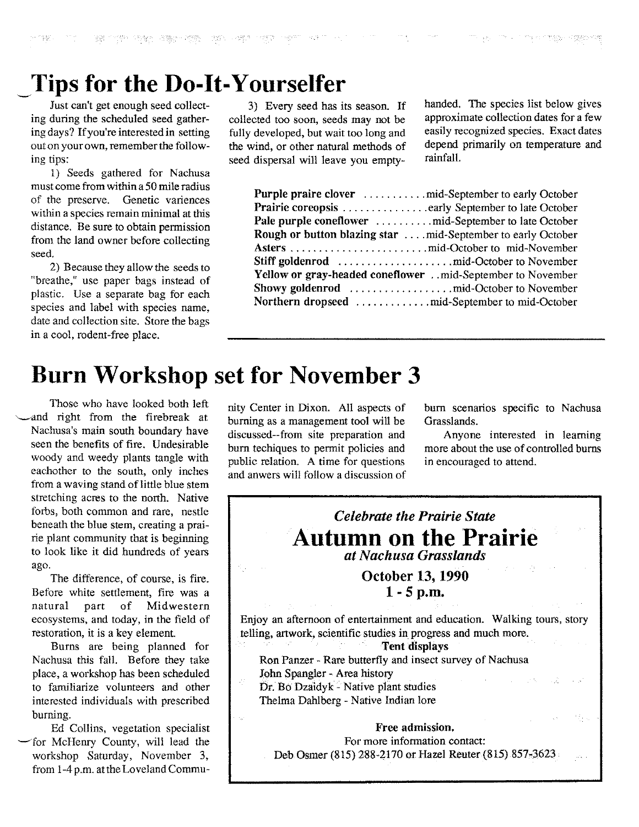1888年 - 古鶴子・四等 学授的 中春郎 172809

## ~Tips **for the Do-It-Yourselfer**

Just can't get enough seed collecting during the scheduled seed gathering days? If you're interested in setting out on your own, remember the following tips:

1) Seeds gathered for Nachusa must come from within a 50 mile radius of the preserve. Genetic variences within a species remain minimal at this distance. Be sure to obtain permission from the land owner before collecting seed.

2) Because they allow the seeds to "breathe," use paper bags instead of plastic. Use a separate bag for each species and label with species name, date and collection site. Store the bags in a cool, rodent-free place.

3) Every seed has its season. If collected too soon, seeds may not be fully developed, but wait too long and the wind, or other natural methods of seed dispersal will leave you emptyhanded. The species list below gives approximate collection dates for a few easily recognized species. Exact dates depend primarily on temperature and rainfall.

| <b>Rough or button blazing star  . mid-September to early October</b> |
|-----------------------------------------------------------------------|
|                                                                       |
|                                                                       |
| Yellow or gray-headed coneflower mid-September to November            |
|                                                                       |
|                                                                       |

## **Burn Workshop set for November 3**

Those who have looked both left ~and right from the firebreak at Nachusa's main south boundary have seen the benefits of fire. Undesirable woody and weedy plants tangle with eachother to the south, only inches from a waving stand of little blue stem stretching acres to the north. Native forbs, both common and rare, nestle beneath the blue stem, creating a prairie plant community that is beginning to look like it did hundreds of years ago.

The difference, of course, is fire. Before white settlement, fire was a natural part of Midwestern ecosystems, and today, in the field of restoration, it is a key element.

Burns are being planned for Nachusa this fall. Before they take place, a workshop has been scheduled to familiarize volunteers and other interested individuals with prescribed burning.

Ed Collins, vegetation specialist -for McHenry County, will lead the workshop Saturday, November 3, from 1-4 p.m. at the Loveland Community Center in Dixon. All aspects of burning as a management tool will be discussed--from site preparation and burn techiques to permit policies and public relation. A time for questions and anwers will follow a discussion of burn scenarios specific to Nachusa Grasslands.

Anyone interested in learning more about the use of controlled burns in encouraged to attend.